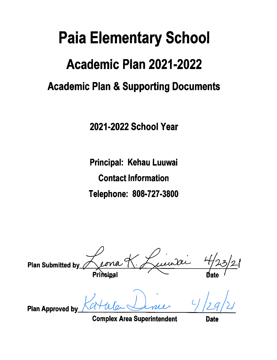# **Paia Elementary School**

# Academic Plan 2021-2022

# **Academic Plan & Supporting Documents**

2021-2022 School Year

Principal: Kehau Luuwai **Contact Information** Telephone: 808-727-3800

**Plan Submitted by** Prinsipal Plan Approved by

**Complex Area Superintendent** 

**Date**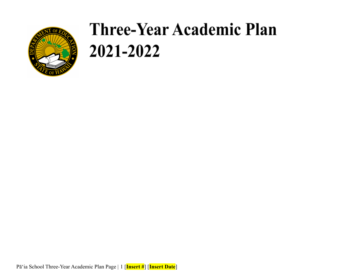

Pā'ia School Three-Year Academic Plan Page | 1 [**Insert #**] [**Insert Date**]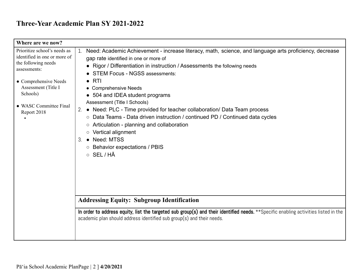| Where are we now?                                                                                                                                                                                        |                                                                                                                                                                                                                                                                                                                                                                                                                                                                                                                                                                                                                                                                                        |
|----------------------------------------------------------------------------------------------------------------------------------------------------------------------------------------------------------|----------------------------------------------------------------------------------------------------------------------------------------------------------------------------------------------------------------------------------------------------------------------------------------------------------------------------------------------------------------------------------------------------------------------------------------------------------------------------------------------------------------------------------------------------------------------------------------------------------------------------------------------------------------------------------------|
| Prioritize school's needs as<br>identified in one or more of<br>the following needs<br>assessments:<br>• Comprehensive Needs<br>Assessment (Title I<br>Schools)<br>• WASC Committee Final<br>Report 2018 | Need: Academic Achievement - increase literacy, math, science, and language arts proficiency, decrease<br>gap rate identified in one or more of<br>Rigor / Differentiation in instruction / Assessments the following needs<br>• STEM Focus - NGSS assessments:<br>RTI<br>• Comprehensive Needs<br>• 504 and IDEA student programs<br>Assessment (Title I Schools)<br>• Need: PLC - Time provided for teacher collaboration/ Data Team process<br>2.<br>○ Data Teams - Data driven instruction / continued PD / Continued data cycles<br>○ Articulation - planning and collaboration<br>o Vertical alignment<br>• Need: MTSS<br>З.<br>○ Behavior expectations / PBIS<br>$\circ$ SEL/HA |
|                                                                                                                                                                                                          | <b>Addressing Equity: Subgroup Identification</b>                                                                                                                                                                                                                                                                                                                                                                                                                                                                                                                                                                                                                                      |
|                                                                                                                                                                                                          | In order to address equity, list the targeted sub group(s) and their identified needs. **Specific enabling activities listed in the<br>academic plan should address identified sub group(s) and their needs.                                                                                                                                                                                                                                                                                                                                                                                                                                                                           |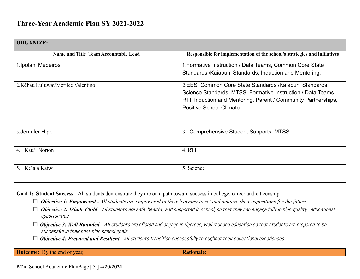| <b>ORGANIZE:</b>                            |                                                                                                                                                                                                                              |
|---------------------------------------------|------------------------------------------------------------------------------------------------------------------------------------------------------------------------------------------------------------------------------|
| <b>Name and Title Team Accountable Lead</b> | Responsible for implementation of the school's strategies and initiatives                                                                                                                                                    |
| 1. Ipolani Medeiros                         | 1. Formative Instruction / Data Teams, Common Core State<br>Standards / Kaiapuni Standards, Induction and Mentoring,                                                                                                         |
| 2. Kēhau Lu'uwai/Merilee Valentino          | 2.EES, Common Core State Standards / Kaiapuni Standards,<br>Science Standards, MTSS, Formative Instruction / Data Teams,<br>RTI, Induction and Mentoring, Parent / Community Partnerships,<br><b>Positive School Climate</b> |
| 3. Jennifer Hipp                            | 3. Comprehensive Student Supports, MTSS                                                                                                                                                                                      |
| 4. Kau'i Norton                             | 4. RTI                                                                                                                                                                                                                       |
| 5. Ke'ala Kaiwi                             | 5. Science                                                                                                                                                                                                                   |

**Goal 1: Student Success.** All students demonstrate they are on a path toward success in college, career and citizenship.

☐ *Objective 1: Empowered - All students are empowered in their learning to set and achieve their aspirations for the future.*

- □ **Objective 2: Whole Child** All students are safe, healthy, and supported in school, so that they can engage fully in high-quality educational opportunities.
- □ **Objective 3: Well Rounded** All students are offered and engage in rigorous, well rounded education so that students are prepared to be successful in their post-high school goals.
- □ **Objective 4: Prepared and Resilient** All students transition successfully throughout their educational experiences.

**Outcome:** By the end of year, **Rationale: Rationale:**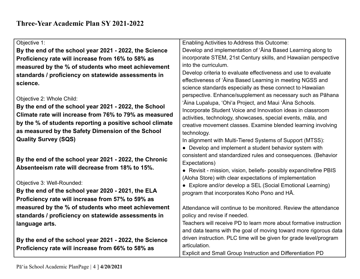| Objective 1:                                             | Enabling Activities to Address this Outcome:                                        |
|----------------------------------------------------------|-------------------------------------------------------------------------------------|
| By the end of the school year 2021 - 2022, the Science   | Develop and implementation of 'Aina Based Learning along to                         |
| Proficiency rate will increase from 16% to 58% as        | incorporate STEM, 21st Century skills, and Hawaiian perspective                     |
| measured by the % of students who meet achievement       | into the curriculum.                                                                |
| standards / proficiency on statewide assessments in      | Develop criteria to evaluate effectiveness and use to evaluate                      |
| science.                                                 | effectiveness of 'Aina Based Learning in meeting NGSS and                           |
|                                                          | science standards especially as these connect to Hawaiian                           |
| Objective 2: Whole Child:                                | perspective. Enhance/supplement as necessary such as Pāhana                         |
| By the end of the school year 2021 - 2022, the School    | 'Āina Lupalupa, 'Ohi'a Project, and Maui 'Āina Schools.                             |
| Climate rate will increase from 76% to 79% as measured   | Incorporate Student Voice and Innovation ideas in classroom                         |
| by the % of students reporting a positive school climate | activities, technology, showcases, special events, māla, and                        |
|                                                          | creative movement classes. Examine blended learning involving                       |
| as measured by the Safety Dimension of the School        | technology.                                                                         |
| <b>Quality Survey (SQS)</b>                              | In alignment with Multi-Tiered Systems of Support (MTSS):                           |
|                                                          | • Develop and implement a student behavior system with                              |
| By the end of the school year 2021 - 2022, the Chronic   | consistent and standardized rules and consequences. (Behavior                       |
| Absenteeism rate will decrease from 18% to 15%.          | Expectations)                                                                       |
|                                                          | • Revisit - mission, vision, beliefs- possibly expand/refine PBIS                   |
| Objective 3: Well-Rounded:                               | (Aloha Store) with clear expectations of implementation                             |
| By the end of the school year 2020 - 2021, the ELA       | Explore and/or develop a SEL (Social Emotional Learning)                            |
| Proficiency rate will increase from 57% to 59% as        | program that incorporates Koho Pono and HA.                                         |
| measured by the % of students who meet achievement       |                                                                                     |
|                                                          | Attendance will continue to be monitored. Review the attendance                     |
| standards / proficiency on statewide assessments in      | policy and revise if needed.                                                        |
| language arts.                                           | Teachers will receive PD to learn more about formative instruction                  |
|                                                          | and data teams with the goal of moving toward more rigorous data                    |
| By the end of the school year 2021 - 2022, the Science   | driven instruction. PLC time will be given for grade level/program<br>articulation. |
| Proficiency rate will increase from 66% to 58% as        | Explicit and Small Group Instruction and Differentiation PD                         |
|                                                          |                                                                                     |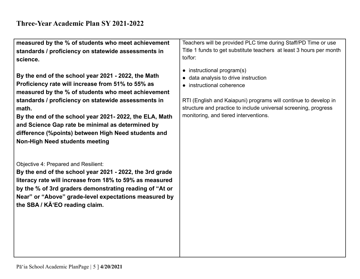**measured by the % of students who meet achievement standards / proficiency on statewide assessments in science.**

**By the end of the school year 2021 - 2022, the Math Proficiency rate will increase from 51% to 55% as measured by the % of students who meet achievement standards / proficiency on statewide assessments in math.**

**By the end of the school year 2021- 2022, the ELA, Math and Science Gap rate be minimal as determined by difference (%points) between High Need students and Non-High Need students meeting**

Objective 4: Prepared and Resilient:

**By the end of the school year 2021 - 2022, the 3rd grade literacy rate will increase from 18% to 59% as measured by the % of 3rd graders demonstrating reading of "At or Near" or "Above" grade-level expectations measured by the SBA / KĀʻEO reading claim.**

Teachers will be provided PLC time during Staff/PD Time or use Title 1 funds to get substitute teachers at least 3 hours per month to/for:

- instructional program(s)
- data analysis to drive instruction
- instructional coherence

RTI (English and Kaiapuni) programs will continue to develop in structure and practice to include universal screening, progress monitoring, and tiered interventions.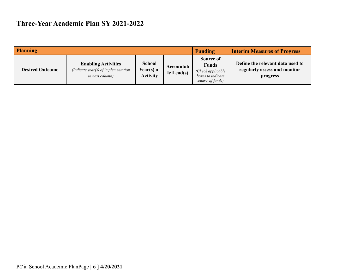| <b>Planning</b>        |                                                                                              | Funding                                        | <b>Interim Measures of Progress</b> |                                                                                         |                                                                              |
|------------------------|----------------------------------------------------------------------------------------------|------------------------------------------------|-------------------------------------|-----------------------------------------------------------------------------------------|------------------------------------------------------------------------------|
| <b>Desired Outcome</b> | <b>Enabling Activities</b><br>(Indicate year(s) of implementation<br><i>in next column</i> ) | <b>School</b><br>Year(s) of<br><b>Activity</b> | Accountab<br>$le$ Lead(s)           | Source of<br><b>Funds</b><br>(Check applicable<br>boxes to indicate<br>source of funds) | Define the relevant data used to<br>regularly assess and monitor<br>progress |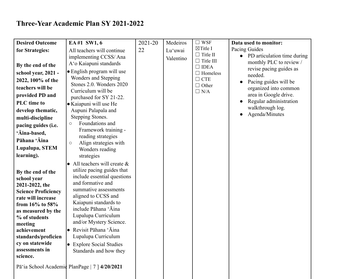| <b>Desired Outcome</b>                | EA#1 SW1, 6                                       | 2021-20 | Medeiros  | $\Box$ WSF                          | Data used to monitor:                    |
|---------------------------------------|---------------------------------------------------|---------|-----------|-------------------------------------|------------------------------------------|
| for Strategies:                       | All teachers will continue                        | 22      | Lu'uwai   | $\boxtimes$ Title I                 | Pacing Guides                            |
|                                       | implementing CCSS/Ana                             |         | Valentino | $\Box$ Title II<br>$\Box$ Title III | PD articulation time during<br>$\bullet$ |
| By the end of the                     | A'o Kaiapuni standards                            |         |           | $\Box$ IDEA                         | monthly PLC to review /                  |
| school year, 2021 -                   | • English program will use                        |         |           | $\Box$ Homeless                     | revise pacing guides as<br>needed.       |
| 2022, 100% of the                     | Wonders and Stepping                              |         |           | $\Box$ CTE                          | Pacing guides will be<br>$\bullet$       |
| teachers will be                      | Stones 2.0. Wonders 2020                          |         |           | $\Box$ Other                        | organized into common                    |
| provided PD and                       | Curriculum will be                                |         |           | $\Box$ N/A                          | area in Google drive.                    |
| PLC time to                           | purchased for SY 21-22.<br>• Kaiapuni will use He |         |           |                                     | Regular administration                   |
| develop thematic,                     | Aupuni Palapala and                               |         |           |                                     | walkthrough log.                         |
| multi-discipline                      | Stepping Stones.                                  |         |           |                                     | Agenda/Minutes                           |
|                                       | Foundations and<br>$\bigcirc$                     |         |           |                                     |                                          |
| pacing guides (i.e.                   | Framework training -                              |         |           |                                     |                                          |
| 'Āina-based,                          | reading strategies                                |         |           |                                     |                                          |
| Pāhana 'Āina                          | Align strategies with<br>$\circ$                  |         |           |                                     |                                          |
| Lupalupa, STEM                        | Wonders reading                                   |         |           |                                     |                                          |
| learning).                            | strategies                                        |         |           |                                     |                                          |
|                                       | All teachers will create $\&$                     |         |           |                                     |                                          |
| By the end of the                     | utilize pacing guides that                        |         |           |                                     |                                          |
| school year                           | include essential questions                       |         |           |                                     |                                          |
| 2021-2022, the                        | and formative and<br>summative assessments        |         |           |                                     |                                          |
| <b>Science Proficiency</b>            | aligned to CCSS and                               |         |           |                                     |                                          |
| rate will increase<br>from 16% to 58% | Kaiapuni standards to                             |         |           |                                     |                                          |
| as measured by the                    | include Pāhana 'Āina                              |         |           |                                     |                                          |
| % of students                         | Lupalupa Curriculum                               |         |           |                                     |                                          |
| meeting                               | and/or Mystery Science.                           |         |           |                                     |                                          |
| achievement                           | • Revisit Pāhana 'Āina                            |         |           |                                     |                                          |
| standards/proficien                   | Lupalupa Curriculum                               |         |           |                                     |                                          |
| cy on statewide                       | • Explore Social Studies                          |         |           |                                     |                                          |
| assessments in                        | Standards and how they                            |         |           |                                     |                                          |
| science.                              |                                                   |         |           |                                     |                                          |
|                                       | Pāʿia School Academic PlanPage   7   4/20/2021    |         |           |                                     |                                          |
|                                       |                                                   |         |           |                                     |                                          |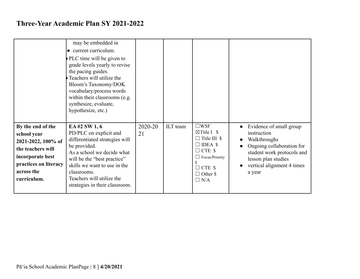|                                                                                                                                                       | may be embedded in<br>• current curriculum.<br>PLC time will be given to<br>grade levels yearly to revise<br>the pacing guides.<br>Teachers will utilize the<br>Bloom's Taxonomy/DOK<br>vocabulary/process words<br>within their classrooms (e.g.<br>synthesize, evaluate,<br>hypothesize, etc.) |               |          |                                                                                                                                                                                 |                                                                                                                                                                                  |
|-------------------------------------------------------------------------------------------------------------------------------------------------------|--------------------------------------------------------------------------------------------------------------------------------------------------------------------------------------------------------------------------------------------------------------------------------------------------|---------------|----------|---------------------------------------------------------------------------------------------------------------------------------------------------------------------------------|----------------------------------------------------------------------------------------------------------------------------------------------------------------------------------|
| By the end of the<br>school year<br>2021-2022, 100% of<br>the teachers will<br>incorporate best<br>practices on literacy<br>across the<br>curriculum. | EA#2 SW 1, 6<br>PD/PLC on explicit and<br>differentiated strategies will<br>be provided.<br>As a school we decide what<br>will be the "best practice"<br>skills we want to use in the<br>classrooms.<br>Teachers will utilize the<br>strategies in their classroom.                              | 2020-20<br>21 | ILT team | $\square$ WSF<br>$\boxtimes$ Title I \$<br>$\Box$ Title III \$<br>$\square$ IDEA \$<br>$\Box$ CTE \$<br>$\Box$ Focus/Priority<br>$\Box$ CTE \$<br>$\Box$ Other \$<br>$\Box$ N/A | Evidence of small group<br>instruction<br>Walkthroughs<br>Ongoing collaboration for<br>student work protocols and<br>lesson plan studies<br>vertical alignment 4 times<br>a year |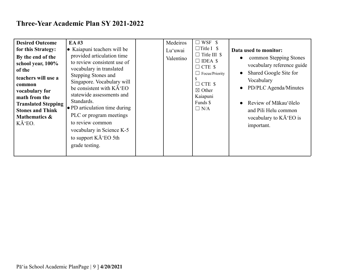| <b>Desired Outcome</b><br>for this Strategy:<br>By the end of the<br>school year, 100%<br>of the<br>teachers will use a<br>common<br>vocabulary for<br>math from the<br><b>Translated Stepping</b><br><b>Stones and Think</b><br>Mathematics &<br>K'EO. | EA#3<br>$\bullet$ Kaiapuni teachers will be<br>provided articulation time<br>to review consistent use of<br>vocabulary in translated<br>Stepping Stones and<br>Singapore. Vocabulary will<br>be consistent with KA'EO<br>statewide assessments and<br>Standards.<br>$\bullet$ PD articulation time during<br>PLC or program meetings<br>to review common<br>vocabulary in Science K-5<br>to support KĀ EO 5th<br>grade testing. |  | Medeiros<br>Lu'uwai<br>Valentino | $\Box$ WSF \$<br>$\Box$ Title I \$<br>$\Box$ Title III \$<br>$\Box$ IDEA \$<br>$\Box$ CTE \$<br>$\Box$ Focus/Priority<br>S.<br>$\Box$ CTE \$<br>$\boxtimes$ Other<br>Kaiapuni<br>Funds \$<br>$\Box$ N/A | Data used to monitor:<br>common Stepping Stones<br>vocabulary reference guide<br>Shared Google Site for<br>Vocabulary<br>PD/PLC Agenda/Minutes<br>Review of Mākau'ōlelo<br>and Pili Helu common<br>vocabulary to KĀ EO is<br>important. |
|---------------------------------------------------------------------------------------------------------------------------------------------------------------------------------------------------------------------------------------------------------|---------------------------------------------------------------------------------------------------------------------------------------------------------------------------------------------------------------------------------------------------------------------------------------------------------------------------------------------------------------------------------------------------------------------------------|--|----------------------------------|---------------------------------------------------------------------------------------------------------------------------------------------------------------------------------------------------------|-----------------------------------------------------------------------------------------------------------------------------------------------------------------------------------------------------------------------------------------|
|---------------------------------------------------------------------------------------------------------------------------------------------------------------------------------------------------------------------------------------------------------|---------------------------------------------------------------------------------------------------------------------------------------------------------------------------------------------------------------------------------------------------------------------------------------------------------------------------------------------------------------------------------------------------------------------------------|--|----------------------------------|---------------------------------------------------------------------------------------------------------------------------------------------------------------------------------------------------------|-----------------------------------------------------------------------------------------------------------------------------------------------------------------------------------------------------------------------------------------|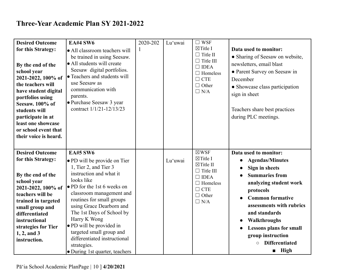| <b>Desired Outcome</b>                                                                                                                                                                                                                                                        | <b>EA#4 SW6</b>                                                                                                                                                                                                                                                                                                                                                                                                             | 2020-202 | Lu'uwai | $\square$ WSF                                                                                                                                                    |                                                                                                                                                                                                                                                                                                                                                          |
|-------------------------------------------------------------------------------------------------------------------------------------------------------------------------------------------------------------------------------------------------------------------------------|-----------------------------------------------------------------------------------------------------------------------------------------------------------------------------------------------------------------------------------------------------------------------------------------------------------------------------------------------------------------------------------------------------------------------------|----------|---------|------------------------------------------------------------------------------------------------------------------------------------------------------------------|----------------------------------------------------------------------------------------------------------------------------------------------------------------------------------------------------------------------------------------------------------------------------------------------------------------------------------------------------------|
| for this Strategy:<br>By the end of the<br>school year<br>2021-2022, 100% of<br>the teachers will<br>have student digital<br>portfolios using<br>Seesaw. 100% of<br>students will<br>participate in at<br>least one showcase<br>or school event that<br>their voice is heard. | • All classroom teachers will<br>be trained in using Seesaw.<br>• All students will create<br>Seesaw digital portfolios.<br>• Teachers and students will<br>use Seesaw as<br>communication with<br>parents.<br>• Purchase Seesaw 3 year<br>contract 1/1/21-12/13/23                                                                                                                                                         |          |         | $\boxtimes$ Title I<br>$\Box$ Title II<br>$\Box$ Title III<br>$\Box$ IDEA<br>$\Box$ Homeless<br>$\Box$ CTE<br>$\Box$ Other<br>$\Box$ N/A                         | Data used to monitor:<br>• Sharing of Seesaw on website,<br>newsletters, email blast<br>• Parent Survey on Seesaw in<br>December<br>• Showcase class participation<br>sign in sheet<br>Teachers share best practices<br>during PLC meetings.                                                                                                             |
| <b>Desired Outcome</b><br>for this Strategy:<br>By the end of the<br>school year<br>2021-2022, 100% of<br>teachers will be<br>trained in targeted<br>small group and<br>differentiated<br>instructional<br>strategies for Tier<br>$1, 2,$ and $3$<br>instruction.             | <b>EA#5 SW6</b><br>• PD will be provide on Tier<br>1, Tier 2, and Tier 3<br>instruction and what it<br>looks like<br>• PD for the 1st 6 weeks on<br>classroom management and<br>routines for small groups<br>using Grace Dearborn and<br>The 1st Days of School by<br>Harry K Wong<br>• PD will be provided in<br>targeted small group and<br>differentiated instructional<br>strategies.<br>• During 1st quarter, teachers |          | Lu'uwai | $\boxtimes$ WSF<br>$\boxtimes$ Title I<br>$\boxtimes$ Title II<br>$\Box$ Title III<br>$\Box$ IDEA<br>$\Box$ Homeless<br>$\Box$ CTE<br>$\Box$ Other<br>$\Box$ N/A | Data used to monitor:<br><b>Agendas/Minutes</b><br>Sign in sheets<br><b>Summaries from</b><br>analyzing student work<br>protocols<br><b>Common formative</b><br>assessments with rubrics<br>and standards<br>Walkthroughs<br><b>Lessons plans for small</b><br>$\bullet$<br>group instruction<br><b>Differentiated</b><br>$\circ$<br>$\blacksquare$ High |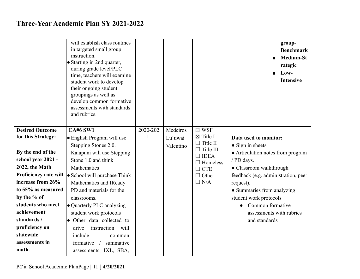|                                                                                                                                                                                                                                                 | will establish class routines<br>in targeted small group<br>instruction.<br>• Starting in 2nd quarter,<br>during grade level/PLC<br>time, teachers will examine<br>student work to develop<br>their ongoing student<br>groupings as well as<br>develop common formative<br>assessments with standards<br>and rubrics.              |          |                                  |                                                                                                                                                             | group-<br><b>Benchmark</b><br><b>Medium-St</b><br>rategic<br>Low-<br><b>Intensive</b>                                                                                                                                                                                                                    |
|-------------------------------------------------------------------------------------------------------------------------------------------------------------------------------------------------------------------------------------------------|------------------------------------------------------------------------------------------------------------------------------------------------------------------------------------------------------------------------------------------------------------------------------------------------------------------------------------|----------|----------------------------------|-------------------------------------------------------------------------------------------------------------------------------------------------------------|----------------------------------------------------------------------------------------------------------------------------------------------------------------------------------------------------------------------------------------------------------------------------------------------------------|
| <b>Desired Outcome</b><br>for this Strategy:<br>By the end of the<br>school year 2021 -<br>2022, the Math<br>Proficiency rate will<br>increase from 26%<br>to 55% as measured<br>by the % of<br>students who meet<br>achievement<br>standards / | <b>EA#6 SW1</b><br>• English Program will use<br>Stepping Stones 2.0.<br>Kaiapuni will use Stepping<br>Stone 1.0 and think<br>Mathematics<br>• School will purchase Think<br>Mathematics and IReady<br>PD and materials for the<br>classrooms.<br>• Quarterly PLC analyzing<br>student work protocols<br>• Other data collected to | 2020-202 | Medeiros<br>Lu'uwai<br>Valentino | $\boxtimes$ WSF<br>$\boxtimes$ Title I<br>$\Box$ Title II<br>$\Box$ Title III<br>$\Box$ IDEA<br>$\Box$ Homeless<br>$\Box$ CTE<br>$\Box$ Other<br>$\Box$ N/A | Data used to monitor:<br>$\bullet$ Sign in sheets<br>• Articulation notes from program<br>/ PD days.<br>• Classroom walkthrough<br>feedback (e.g. administration, peer<br>request).<br>• Summaries from analyzing<br>student work protocols<br>Common formative<br>$\bullet$<br>assessments with rubrics |
| proficiency on<br>statewide<br>assessments in<br>math.                                                                                                                                                                                          | instruction will<br>drive<br>include<br>common<br>formative<br>summative<br>$\sqrt{2}$<br>assessments, IXL, SBA,                                                                                                                                                                                                                   |          |                                  |                                                                                                                                                             | and standards                                                                                                                                                                                                                                                                                            |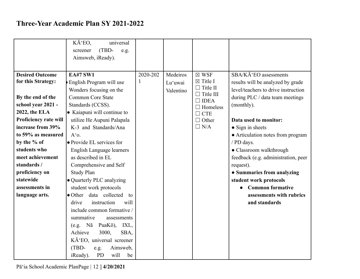|                                                                                                                                                                                                                                                                                                                   | KĀ EO,<br>universal<br>(TBD-<br>screener<br>e.g.<br>Aimsweb, iReady).                                                                                                                                                                                                                                                                                                                                                                                                                                                                                                                                                               |               |                                  |                                                                                                                                                             |                                                                                                                                                                                                                                                                                                                                                                                                                                                                                |
|-------------------------------------------------------------------------------------------------------------------------------------------------------------------------------------------------------------------------------------------------------------------------------------------------------------------|-------------------------------------------------------------------------------------------------------------------------------------------------------------------------------------------------------------------------------------------------------------------------------------------------------------------------------------------------------------------------------------------------------------------------------------------------------------------------------------------------------------------------------------------------------------------------------------------------------------------------------------|---------------|----------------------------------|-------------------------------------------------------------------------------------------------------------------------------------------------------------|--------------------------------------------------------------------------------------------------------------------------------------------------------------------------------------------------------------------------------------------------------------------------------------------------------------------------------------------------------------------------------------------------------------------------------------------------------------------------------|
| <b>Desired Outcome</b><br>for this Strategy:<br>By the end of the<br>school year 2021 -<br>2022, the ELA<br>Proficiency rate will<br>increase from 39%<br>to 59% as measured<br>by the % of<br>students who<br>meet achievement<br>standards /<br>proficiency on<br>statewide<br>assessments in<br>language arts. | <b>EA#7 SW1</b><br>English Program will use<br>Wonders focusing on the<br><b>Common Core State</b><br>Standards (CCSS).<br>• Kaiapuni will continue to<br>utilize He Aupuni Palapala<br>K-3 and Standards/Ana<br>$A'0$ .<br>• Provide EL services for<br>English Language learners<br>as described in EL<br>Comprehensive and Self<br><b>Study Plan</b><br>• Quarterly PLC analyzing<br>student work protocols<br>• Other data collected<br>to<br>drive<br>instruction<br>will<br>include common formative /<br>summative<br>assessments<br>PuaKō),<br>Nā<br>IXL,<br>(e.g.<br>Achieve<br>3000,<br>SBA,<br>KĀ EO, universal screener | 2020-202<br>1 | Medeiros<br>Lu'uwai<br>Valentino | $\boxtimes$ WSF<br>$\boxtimes$ Title I<br>$\Box$ Title II<br>$\Box$ Title III<br>$\Box$ IDEA<br>$\Box$ Homeless<br>$\Box$ CTE<br>$\Box$ Other<br>$\Box$ N/A | SBA/KĀ EO assessments<br>results will be analyzed by grade<br>level/teachers to drive instruction<br>during PLC / data team meetings<br>(monthly).<br>Data used to monitor:<br>• Sign in sheets<br>• Articulation notes from program<br>/ PD days.<br>· Classroom walkthrough<br>feedback (e.g. administration, peer<br>request).<br>• Summaries from analyzing<br>student work protocols<br><b>Common formative</b><br>$\bullet$<br>assessments with rubrics<br>and standards |
|                                                                                                                                                                                                                                                                                                                   | (TBD-<br>Aimsweb,<br>e.g.<br><b>PD</b><br>will<br>iReady).<br>be                                                                                                                                                                                                                                                                                                                                                                                                                                                                                                                                                                    |               |                                  |                                                                                                                                                             |                                                                                                                                                                                                                                                                                                                                                                                                                                                                                |

Pā'ia School Academic PlanPage | 12 ] **4/20/2021**]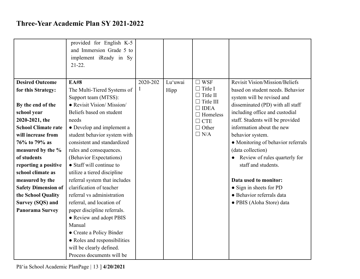|                            | provided for English K-5<br>and Immersion Grade 5 to<br>implement iReady in Sy<br>$21-22.$ |          |         |                                   |                                       |
|----------------------------|--------------------------------------------------------------------------------------------|----------|---------|-----------------------------------|---------------------------------------|
| <b>Desired Outcome</b>     | <b>EA#8</b>                                                                                | 2020-202 | Lu'uwai | $\Box$ WSF                        | <b>Revisit Vision/Mission/Beliefs</b> |
| for this Strategy:         | The Multi-Tiered Systems of                                                                | 1        | Hipp    | $\Box$ Title I<br>$\Box$ Title II | based on student needs. Behavior      |
|                            | Support team (MTSS):                                                                       |          |         | $\Box$ Title III                  | system will be revised and            |
| By the end of the          | • Revisit Vision/Mission/                                                                  |          |         | $\Box$ IDEA                       | disseminated (PD) with all staff      |
| school year                | Beliefs based on student                                                                   |          |         | $\Box$ Homeless                   | including office and custodial        |
| 2020-2021, the             | needs                                                                                      |          |         | $\Box$ CTE                        | staff. Students will be provided      |
| <b>School Climate rate</b> | • Develop and implement a                                                                  |          |         | $\Box$ Other                      | information about the new             |
| will increase from         | student behavior system with                                                               |          |         | $\Box$ N/A                        | behavior system.                      |
| 76% to 79% as              | consistent and standardized                                                                |          |         |                                   | • Monitoring of behavior referrals    |
| measured by the %          | rules and consequences.                                                                    |          |         |                                   | (data collection)                     |
| of students                | (Behavior Expectations)                                                                    |          |         |                                   | • Review of rules quarterly for       |
| reporting a positive       | • Staff will continue to                                                                   |          |         |                                   | staff and students.                   |
| school climate as          | utilize a tiered discipline                                                                |          |         |                                   |                                       |
| measured by the            | referral system that includes                                                              |          |         |                                   | Data used to monitor:                 |
| <b>Safety Dimension of</b> | clarification of teacher                                                                   |          |         |                                   | • Sign in sheets for PD               |
| the School Quality         | referral vs administration                                                                 |          |         |                                   | · Behavior referrals data             |
| Survey (SQS) and           | referral, and location of                                                                  |          |         |                                   | · PBIS (Aloha Store) data             |
| <b>Panorama Survey</b>     | paper discipline referrals.                                                                |          |         |                                   |                                       |
|                            | • Review and adopt PBIS                                                                    |          |         |                                   |                                       |
|                            | Manual                                                                                     |          |         |                                   |                                       |
|                            | • Create a Policy Binder                                                                   |          |         |                                   |                                       |
|                            | • Roles and responsibilities                                                               |          |         |                                   |                                       |
|                            | will be clearly defined.                                                                   |          |         |                                   |                                       |
|                            | Process documents will be                                                                  |          |         |                                   |                                       |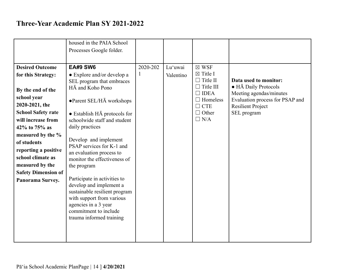|                                                                                                                                                    | housed in the PAIA School<br>Processes Google folder.                                                                                                                                                                                                                                                                               |          |           |                                        |                                                                          |
|----------------------------------------------------------------------------------------------------------------------------------------------------|-------------------------------------------------------------------------------------------------------------------------------------------------------------------------------------------------------------------------------------------------------------------------------------------------------------------------------------|----------|-----------|----------------------------------------|--------------------------------------------------------------------------|
|                                                                                                                                                    |                                                                                                                                                                                                                                                                                                                                     |          |           |                                        |                                                                          |
| <b>Desired Outcome</b>                                                                                                                             | <b>EA#9 SW6</b>                                                                                                                                                                                                                                                                                                                     | 2020-202 | Lu'uwai   | $\boxtimes$ WSF                        |                                                                          |
| for this Strategy:                                                                                                                                 | $\bullet$ Explore and/or develop a                                                                                                                                                                                                                                                                                                  | 1        | Valentino | $\boxtimes$ Title I<br>$\Box$ Title II |                                                                          |
| By the end of the                                                                                                                                  | SEL program that embraces<br>HĀ and Koho Pono                                                                                                                                                                                                                                                                                       |          |           | $\Box$ Title III<br>$\Box$ IDEA        | Data used to monitor:<br>• HĀ Daily Protocols<br>Meeting agendas/minutes |
| school year<br>2020-2021, the                                                                                                                      | •Parent SEL/HA workshops                                                                                                                                                                                                                                                                                                            |          |           | $\Box$ Homeless<br>$\Box$ CTE          | Evaluation process for PSAP and<br><b>Resilient Project</b>              |
| <b>School Safety rate</b>                                                                                                                          | $\bullet$ Establish H $\bar{A}$ protocols for                                                                                                                                                                                                                                                                                       |          |           | $\Box$ Other<br>$\Box$ N/A             | SEL program                                                              |
| will increase from<br>42% to 75% as                                                                                                                | schoolwide staff and student<br>daily practices                                                                                                                                                                                                                                                                                     |          |           |                                        |                                                                          |
| measured by the %<br>of students<br>reporting a positive<br>school climate as<br>measured by the<br><b>Safety Dimension of</b><br>Panorama Survey. | Develop and implement<br>PSAP services for K-1 and<br>an evaluation process to<br>monitor the effectiveness of<br>the program<br>Participate in activities to<br>develop and implement a<br>sustainable resilient program<br>with support from various<br>agencies in a 3 year<br>commitment to include<br>trauma informed training |          |           |                                        |                                                                          |
|                                                                                                                                                    |                                                                                                                                                                                                                                                                                                                                     |          |           |                                        |                                                                          |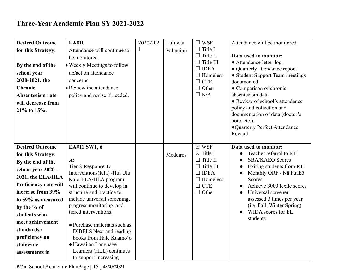| <b>Desired Outcome</b> | EA#10                                                          | 2020-202 | Lu'uwai   | $\square$ WSF                 | Attendance will be monitored.                 |
|------------------------|----------------------------------------------------------------|----------|-----------|-------------------------------|-----------------------------------------------|
| for this Strategy:     | Attendance will continue to                                    |          | Valentino | $\Box$ Title I                |                                               |
|                        | be monitored.                                                  |          |           | $\Box$ Title II               | Data used to monitor:                         |
| By the end of the      | <b>Weekly Meetings to follow</b>                               |          |           | $\Box$ Title III              | • Attendance letter log.                      |
| school year            | up/act on attendance                                           |          |           | $\Box$ IDEA                   | • Quarterly attendance report.                |
| 2020-2021, the         | concerns.                                                      |          |           | $\Box$ Homeless<br>$\Box$ CTE | • Student Support Team meetings<br>documented |
| <b>Chronic</b>         | Review the attendance                                          |          |           | $\Box$ Other                  | • Comparison of chronic                       |
| Absenteeism rate       | policy and revise if needed.                                   |          |           | $\Box$ N/A                    | absenteeism data                              |
| will decrease from     |                                                                |          |           |                               | • Review of school's attendance               |
| 21% to 15%.            |                                                                |          |           |                               | policy and collection and                     |
|                        |                                                                |          |           |                               | documentation of data (doctor's               |
|                        |                                                                |          |           |                               | note, etc.).                                  |
|                        |                                                                |          |           |                               | •Quarterly Perfect Attendance                 |
|                        |                                                                |          |           |                               | Reward                                        |
| <b>Desired Outcome</b> | EA#11 SW1, 6                                                   |          |           | $\boxtimes$ WSF               | Data used to monitor:                         |
| for this Strategy:     |                                                                |          | Medeiros  | $\boxtimes$ Title I           | Teacher referral to RTI<br>$\bullet$          |
| By the end of the      | A:                                                             |          |           | $\Box$ Title II               | <b>SBA/KAEO Scores</b><br>$\bullet$           |
| school year 2020 -     | Tier 2-Response To                                             |          |           | $\Box$ Title III              | Exiting students from RTI                     |
| 2021, the ELA/HLA      | Interventions(RTI) /Hui Ulu                                    |          |           | $\Box$ IDEA                   | Monthly ORF / Nā Puakō                        |
|                        | Kalo-ELA/HLA program                                           |          |           |                               |                                               |
| Proficiency rate will  |                                                                |          |           | $\Box$ Homeless               | <b>Scores</b>                                 |
|                        | will continue to develop in                                    |          |           | $\Box$ CTE                    | Achieve 3000 lexile scores                    |
| increase from 39%      | structure and practice to                                      |          |           | $\Box$ Other                  | Universal screener<br>$\bullet$               |
| to 59% as measured     | include universal screening,                                   |          |           |                               | assessed 3 times per year                     |
| by the % of            | progress monitoring, and                                       |          |           |                               | (i.e. Fall, Winter Spring)                    |
| students who           | tiered interventions.                                          |          |           |                               | WIDA scores for EL                            |
| meet achievement       |                                                                |          |           |                               | students                                      |
| standards /            | • Purchase materials such as<br><b>DIBELS</b> Next and reading |          |           |                               |                                               |
| proficiency on         | books from Hale Kuamo'o.                                       |          |           |                               |                                               |
| statewide              | • Hawaiian Language                                            |          |           |                               |                                               |
| assessments in         | Learners (HLL) continues<br>to support increasing              |          |           |                               |                                               |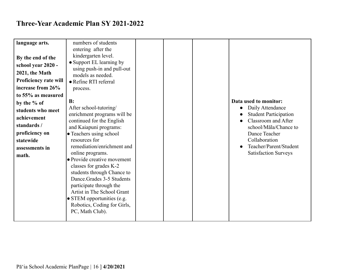| language arts.        | numbers of students                |  |                                     |
|-----------------------|------------------------------------|--|-------------------------------------|
|                       | entering after the                 |  |                                     |
| By the end of the     | kindergarten level.                |  |                                     |
| school year 2020 -    | • Support EL learning by           |  |                                     |
|                       | using push-in and pull-out         |  |                                     |
| 2021, the Math        | models as needed.                  |  |                                     |
| Proficiency rate will | • Refine RTI referral              |  |                                     |
| increase from 26%     | process.                           |  |                                     |
| to 55% as measured    |                                    |  |                                     |
| by the % of           | B:                                 |  | Data used to monitor:               |
| students who meet     | After school-tutoring/             |  | Daily Attendance<br>$\bullet$       |
| achievement           | enrichment programs will be        |  | <b>Student Participation</b>        |
|                       | continued for the English          |  | Classroom and After                 |
| standards /           | and Kaiapuni programs:             |  | school/Māla/Chance to               |
| proficiency on        | • Teachers using school            |  | Dance Teacher                       |
| statewide             | resources for                      |  | Collaboration                       |
| assessments in        | remediation/enrichment and         |  | Teacher/Parent/Student<br>$\bullet$ |
| math.                 | online programs.                   |  | <b>Satisfaction Surveys</b>         |
|                       | • Provide creative movement        |  |                                     |
|                       | classes for grades K-2             |  |                                     |
|                       | students through Chance to         |  |                                     |
|                       | Dance.Grades 3-5 Students          |  |                                     |
|                       | participate through the            |  |                                     |
|                       | Artist in The School Grant         |  |                                     |
|                       | $\bullet$ STEM opportunities (e.g. |  |                                     |
|                       | Robotics, Coding for Girls,        |  |                                     |
|                       | PC, Math Club).                    |  |                                     |
|                       |                                    |  |                                     |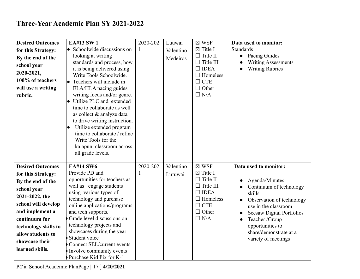| <b>Desired Outcomes</b> | <b>EA#13 SW1</b>                                        | 2020-202 | Luuwai    | $\boxtimes$ WSF                | Data used to monitor:                                           |
|-------------------------|---------------------------------------------------------|----------|-----------|--------------------------------|-----------------------------------------------------------------|
| for this Strategy:      | • Schoolwide discussions on                             | 1        | Valentino | $\boxtimes$ Title I            | Standards                                                       |
| By the end of the       | looking at writing                                      |          | Medeiros  | $\Box$ Title II                | Pacing Guides<br>$\bullet$                                      |
| school year             | standards and process, how                              |          |           | $\Box$ Title III               | <b>Writing Assessments</b>                                      |
| 2020-2021,              | it is being delivered using                             |          |           | $\Box$ IDEA                    | <b>Writing Rubrics</b>                                          |
| 100% of teachers        | Write Tools Schoolwide.                                 |          |           | $\Box$ Homeless                |                                                                 |
|                         | • Teachers will include in                              |          |           | $\Box$ CTE                     |                                                                 |
| will use a writing      | ELA/HLA pacing guides                                   |          |           | $\Box$ Other<br>$\Box$ N/A     |                                                                 |
| rubric.                 | writing focus and/or genre.<br>Utilize PLC and extended |          |           |                                |                                                                 |
|                         | time to collaborate as well                             |          |           |                                |                                                                 |
|                         | as collect & analyze data                               |          |           |                                |                                                                 |
|                         | to drive writing instruction.                           |          |           |                                |                                                                 |
|                         | Utilize extended program                                |          |           |                                |                                                                 |
|                         | time to collaborate / refine                            |          |           |                                |                                                                 |
|                         | Write Tools for the                                     |          |           |                                |                                                                 |
|                         | kaiapuni classroom across                               |          |           |                                |                                                                 |
|                         | all grade levels.                                       |          |           |                                |                                                                 |
|                         |                                                         |          |           |                                |                                                                 |
| <b>Desired Outcomes</b> | <b>EA#14 SW6</b>                                        | 2020-202 | Valentino | $\boxtimes$ WSF                | Data used to monitor:                                           |
| for this Strategy:      | Provide PD and                                          |          | Lu'uwai   | $\boxtimes$ Title I            |                                                                 |
| By the end of the       | opportunities for teachers as                           |          |           | $\Box$ Title II                | Agenda/Minutes                                                  |
| school year             | well as engage students                                 |          |           | $\Box$ Title III               | Continuum of technology                                         |
| 2021-2022, the          | using various types of                                  |          |           | $\Box$ IDEA<br>$\Box$ Homeless | skills                                                          |
| school will develop     | technology and purchase<br>online applications/programs |          |           | $\Box$ CTE                     | Observation of technology                                       |
| and implement a         | and tech supports.                                      |          |           | $\Box$ Other                   | use in the classroom                                            |
| continuum for           | Grade level discussions on                              |          |           | $\Box$ N/A                     | <b>Seesaw Digital Portfolios</b><br>Teacher /Group<br>$\bullet$ |
|                         | technology projects and                                 |          |           |                                | opportunities to                                                |
| technology skills to    | showcases during the year                               |          |           |                                | share/demonstrate at a                                          |
| allow students to       | Student voice                                           |          |           |                                | variety of meetings                                             |
| showcase their          | Connect SEL/current events                              |          |           |                                |                                                                 |
| learned skills.         | Involve community events                                |          |           |                                |                                                                 |
|                         | Purchase Kid Pix for K-1                                |          |           |                                |                                                                 |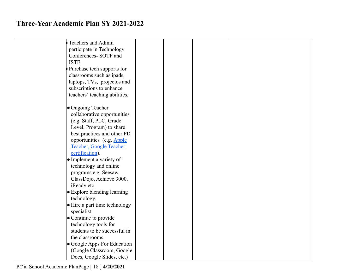| Teachers and Admin            |  |  |
|-------------------------------|--|--|
| participate in Technology     |  |  |
| Conferences-SOTF and          |  |  |
| <b>ISTE</b>                   |  |  |
| Purchase tech supports for    |  |  |
| classrooms such as ipads,     |  |  |
| laptops, TVs, projectos and   |  |  |
| subscriptions to enhance      |  |  |
| teachers' teaching abilities. |  |  |
|                               |  |  |
| • Ongoing Teacher             |  |  |
| collaborative opportunities   |  |  |
| (e.g. Staff, PLC, Grade       |  |  |
|                               |  |  |
| Level, Program) to share      |  |  |
| best practices and other PD   |  |  |
| opportunities (e.g. Apple     |  |  |
| Teacher, Google Teacher       |  |  |
| certification).               |  |  |
| • Implement a variety of      |  |  |
| technology and online         |  |  |
| programs e.g. Seesaw,         |  |  |
| ClassDojo, Achieve 3000,      |  |  |
| iReady etc.                   |  |  |
| • Explore blending learning   |  |  |
| technology.                   |  |  |
| • Hire a part time technology |  |  |
| specialist.                   |  |  |
| • Continue to provide         |  |  |
| technology tools for          |  |  |
| students to be successful in  |  |  |
| the classrooms.               |  |  |
| • Google Apps For Education   |  |  |
| (Google Classroom, Google     |  |  |
| Docs, Google Slides, etc.)    |  |  |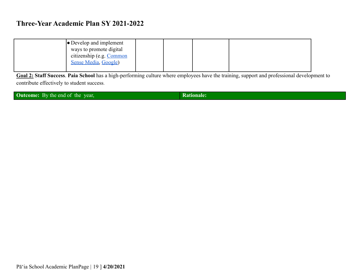| $\bullet$ Develop and implement |  |  |  |
|---------------------------------|--|--|--|
| ways to promote digital         |  |  |  |
| citizenship (e.g. Common        |  |  |  |
| Sense Media, Google)            |  |  |  |
|                                 |  |  |  |

**Goal 2: Staff Success**. **Paia School** has a high-performing culture where employees have the training, support and professional development to contribute effectively to student success.

**Outcome:** By the end of the year, **Rationale: Rationale:**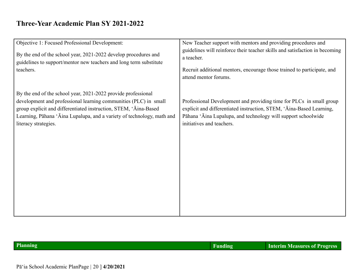| Objective 1: Focused Professional Development:                         | New Teacher support with mentors and providing procedures and               |
|------------------------------------------------------------------------|-----------------------------------------------------------------------------|
| By the end of the school year, 2021-2022 develop procedures and        | guidelines will reinforce their teacher skills and satisfaction in becoming |
| guidelines to support/mentor new teachers and long term substitute     | a teacher.                                                                  |
| teachers.                                                              | Recruit additional mentors, encourage those trained to participate, and     |
| By the end of the school year, 2021-2022 provide professional          | attend mentor forums.                                                       |
| development and professional learning communities (PLC) in small       | Professional Development and providing time for PLCs in small group         |
| group explicit and differentiated instruction, STEM, 'Aina-Based       | explicit and differentiated instruction, STEM, 'Aina-Based Learning,        |
| Learning, Pāhana 'Āina Lupalupa, and a variety of technology, math and | Pāhana 'Āina Lupalupa, and technology will support schoolwide               |
| literacy strategies.                                                   | initiatives and teachers.                                                   |
|                                                                        |                                                                             |
|                                                                        |                                                                             |

| Planning | Interim Measures of Progress ' |
|----------|--------------------------------|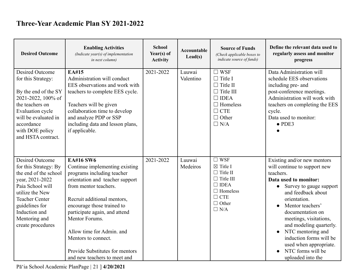| <b>Desired Outcome</b>                                                                                                                                                                                                               | <b>Enabling Activities</b><br>(Indicate year(s) of implementation<br>in next column)                                                                                                                                                                                                                                                                                                | <b>School</b><br>Year(s) of<br><b>Activity</b> | Accountable<br>$\text{Lead}(s)$ | <b>Source of Funds</b><br>(Check applicable boxes to<br><i>indicate source of funds)</i>                                                               | Define the relevant data used to<br>regularly assess and monitor<br>progress                                                                                                                                                                                                                                                                                                                     |
|--------------------------------------------------------------------------------------------------------------------------------------------------------------------------------------------------------------------------------------|-------------------------------------------------------------------------------------------------------------------------------------------------------------------------------------------------------------------------------------------------------------------------------------------------------------------------------------------------------------------------------------|------------------------------------------------|---------------------------------|--------------------------------------------------------------------------------------------------------------------------------------------------------|--------------------------------------------------------------------------------------------------------------------------------------------------------------------------------------------------------------------------------------------------------------------------------------------------------------------------------------------------------------------------------------------------|
| <b>Desired Outcome</b><br>for this Strategy:<br>By the end of the SY<br>2021-2022, 100% of<br>the teachers on<br>Evaluation cycle<br>will be evaluated in<br>accordance<br>with DOE policy<br>and HSTA contract.                     | EA#15<br>Administration will conduct<br>EES observations and work with<br>teachers to complete EES cycle.<br>Teachers will be given<br>collaboration time to develop<br>and analyze PDP or SSP<br>including data and lesson plans,<br>if applicable.                                                                                                                                | 2021-2022                                      | Luuwai<br>Valentino             | $\square$ WSF<br>$\Box$ Title I<br>$\Box$ Title II<br>$\Box$ Title III<br>$\Box$ IDEA<br>$\Box$ Homeless<br>$\Box$ CTE<br>$\Box$ Other<br>$\Box$ N/A   | Data Administration will<br>schedule EES observations<br>including pre- and<br>post-conference meetings.<br>Administration will work with<br>teachers on completing the EES<br>cycle.<br>Data used to monitor:<br>$\bullet$ PDE3                                                                                                                                                                 |
| <b>Desired Outcome</b><br>for this Strategy: By<br>the end of the school<br>year, 2021-2022<br>Paia School will<br>utilize the New<br><b>Teacher Center</b><br>guidelines for<br>Induction and<br>Mentoring and<br>create procedures | <b>EA#16 SW6</b><br>Continue implementing existing<br>programs including teacher<br>orientation and teacher support<br>from mentor teachers.<br>Recruit additional mentors,<br>encourage those trained to<br>participate again, and attend<br>Mentor Forums.<br>Allow time for Admin, and<br>Mentors to connect.<br>Provide Substitutes for mentors<br>and new teachers to meet and | 2021-2022                                      | Luuwai<br>Medeiros              | $\Box$ WSF<br>$\boxtimes$ Title I<br>$\Box$ Title II<br>$\Box$ Title III<br>$\Box$ IDEA<br>$\Box$ Homeless<br>$\Box$ CTE<br>$\Box$ Other<br>$\Box$ N/A | Existing and/or new mentors<br>will continue to support new<br>teachers.<br>Data used to monitor:<br>Survey to gauge support<br>$\bullet$<br>and feedback about<br>orientation.<br>Mentor teachers'<br>documentation on<br>meetings, visitations,<br>and modeling quarterly.<br>NTC mentoring and<br>induction forms will be<br>used when appropriate.<br>NTC forms will be<br>uploaded into the |

Pā'ia School Academic PlanPage | 21 ] **4/20/2021**]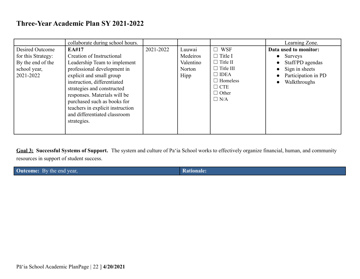|                                                                                         | collaborate during school hours.                                                                                                                                                                                                                                                                                                             |           |                                                   |                                                                                                                                                   | Learning Zone.                                                                                                             |
|-----------------------------------------------------------------------------------------|----------------------------------------------------------------------------------------------------------------------------------------------------------------------------------------------------------------------------------------------------------------------------------------------------------------------------------------------|-----------|---------------------------------------------------|---------------------------------------------------------------------------------------------------------------------------------------------------|----------------------------------------------------------------------------------------------------------------------------|
| Desired Outcome<br>for this Strategy:<br>By the end of the<br>school year,<br>2021-2022 | EA#17<br>Creation of Instructional<br>Leadership Team to implement<br>professional development in<br>explicit and small group<br>instruction, differentiated<br>strategies and constructed<br>responses. Materials will be<br>purchased such as books for<br>teachers in explicit instruction<br>and differentiated classroom<br>strategies. | 2021-2022 | Luuwai<br>Medeiros<br>Valentino<br>Norton<br>Hipp | $\Box$ WSF<br>$\Box$ Title I<br>$\Box$ Title II<br>$\Box$ Title III<br>$\Box$ IDEA<br>$\Box$ Homeless<br>$\Box$ CTE<br>$\Box$ Other<br>$\Box$ N/A | Data used to monitor:<br>Surveys<br>Staff/PD agendas<br>Sign in sheets<br>Participation in PD<br>Walkthroughs<br>$\bullet$ |

**Goal 3: Successful Systems of Support.** The system and culture of Paʻia School works to effectively organize financial, human, and community resources in support of student success.

| <b>Outcome:</b> By the end year, | <b>Rationale:</b> |
|----------------------------------|-------------------|
|                                  |                   |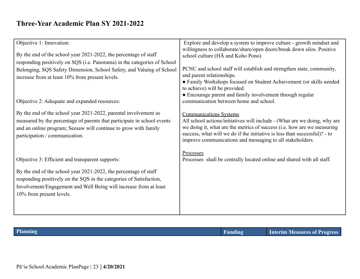| Objective 1: Innovation:                                                                                                                                                                                                                                                                     | Explore and develop a system to improve culture - growth mindset and                                                                                                                                                                                                                                                            |
|----------------------------------------------------------------------------------------------------------------------------------------------------------------------------------------------------------------------------------------------------------------------------------------------|---------------------------------------------------------------------------------------------------------------------------------------------------------------------------------------------------------------------------------------------------------------------------------------------------------------------------------|
| By the end of the school year 2021-2022, the percentage of staff                                                                                                                                                                                                                             | willingness to collaborate/share/open doors/break down silos. Positive<br>school culture (HA and Koho Pono)                                                                                                                                                                                                                     |
| responding positively on SQS (i.e. Panorama) in the categories of School<br>Belonging, SQS Safety Dimension, School Safety, and Valuing of School<br>increase from at least 10% from present levels.                                                                                         | PCNC and school staff will establish and strengthen state, community,<br>and parent relationships.<br>• Family Workshops focused on Student Achievement (or skills needed<br>to achieve) will be provided.                                                                                                                      |
| Objective 2: Adequate and expanded resources:                                                                                                                                                                                                                                                | • Encourage parent and family involvement through regular<br>communication between home and school.                                                                                                                                                                                                                             |
| By the end of the school year 2021-2022, parental involvement as<br>measured by the percentage of parents that participate in school events<br>and an online program; Seesaw will continue to grow with family<br>participation / communication.                                             | <b>Communications Systems</b><br>All school actions/initiatives will include - (What are we doing, why are<br>we doing it, what are the metrics of success (i.e. how are we measuring<br>success, what will we do if the initiative is less than successful)? - to<br>improve communications and messaging to all stakeholders. |
| Objective 3: Efficient and transparent supports:<br>By the end of the school year 2021-2022, the percentage of staff<br>responding positively on the SQS in the categories of Satisfaction,<br>Involvement/Engagement and Well Being will increase from at least<br>10% from present levels. | Processes<br>Processes shall be centrally located online and shared with all staff.                                                                                                                                                                                                                                             |
|                                                                                                                                                                                                                                                                                              |                                                                                                                                                                                                                                                                                                                                 |

| Planning | andıng | <b>Interim Measures of Progress</b> |
|----------|--------|-------------------------------------|
|          |        |                                     |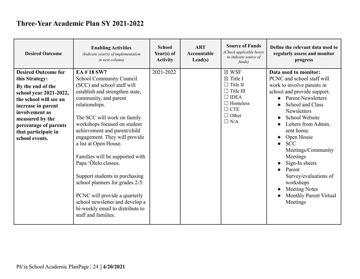| <b>Desired Outcome</b>                                                                                                                                                                                                                             | <b>Enabling Activities</b><br>(Indicate year(s) of implementation<br>in next column)                                                                                                                                                                                                                                                                                                                                                                                                                                                                                               | <b>School</b><br>Year(s) of<br><b>Activity</b> | <b>ART</b><br>Accountable<br>$\text{Lead}(s)$ | <b>Source of Funds</b><br>(Check applicable boxes<br>to indicate source of<br>funds)                                                                        | Define the relevant data used to<br>regularly assess and monitor<br>progress                                                                                                                                                                                                                                                                                                                                                                                                               |
|----------------------------------------------------------------------------------------------------------------------------------------------------------------------------------------------------------------------------------------------------|------------------------------------------------------------------------------------------------------------------------------------------------------------------------------------------------------------------------------------------------------------------------------------------------------------------------------------------------------------------------------------------------------------------------------------------------------------------------------------------------------------------------------------------------------------------------------------|------------------------------------------------|-----------------------------------------------|-------------------------------------------------------------------------------------------------------------------------------------------------------------|--------------------------------------------------------------------------------------------------------------------------------------------------------------------------------------------------------------------------------------------------------------------------------------------------------------------------------------------------------------------------------------------------------------------------------------------------------------------------------------------|
| <b>Desired Outcome for</b><br>this Strategy:<br>By the end of the<br>school year 2021-2022,<br>the school will see an<br>increase in parent<br>involvement as<br>measured by the<br>percentage of parents<br>that participate in<br>school events. | EA #18 SW7<br><b>School Community Council</b><br>(SCC) and school staff will<br>establish and strengthen state,<br>community, and parent<br>relationships.<br>The SCC will work on family<br>workshops focused on student<br>achievement and parent/child<br>engagement. They will provide<br>a list at Open House.<br>Families will be supported with<br>Papa 'Ōlelo classes.<br>Support students in purchasing<br>school planners for grades 2-5.<br>PCNC will provide a quarterly<br>school newsletter and develop a<br>bi-weekly email to distribute to<br>staff and families. | 2021-2022                                      |                                               | $\boxtimes$ WSF<br>$\boxtimes$ Title I<br>$\Box$ Title II<br>$\Box$ Title III<br>$\Box$ IDEA<br>$\Box$ Homeless<br>$\Box$ CTE<br>$\Box$ Other<br>$\Box$ N/A | Data used to monitor:<br>PCNC and school staff will<br>work to involve parents in<br>school and provide support.<br><b>Parent Newsletters</b><br>$\bullet$<br><b>School and Class</b><br><b>Newsletters</b><br>School Website<br>Letters from Admin.<br>sent home.<br>Open House<br>$\bullet$<br><b>SCC</b><br>Meetings/Community<br>Meetings<br>Sign-In sheets<br>Parent<br>Survey/evaluations of<br>workshops<br><b>Meeting Notes</b><br>$\bullet$<br>Monthly Parent Virtual<br>Meetings |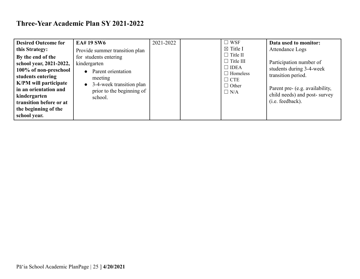| <b>Desired Outcome for</b><br>this Strategy:<br>By the end of the<br>school year, 2021-2022,<br>100% of non-preschool<br>students entering<br><b>K/PM</b> will participate<br>in an orientation and<br>kindergarten<br>transition before or at<br>the beginning of the<br>school year. | <b>EA# 19 SW6</b><br>Provide summer transition plan<br>for students entering<br>kindergarten<br>• Parent orientation<br>meeting<br>$\bullet$ 3-4-week transition plan<br>prior to the beginning of<br>school. | 2021-2022 |  | $\square$ WSF<br>$\boxtimes$ Title I<br>$\Box$ Title II<br>$\Box$ Title III<br>$\Box$ IDEA<br>$\Box$ Homeless<br>$\Box$ CTE<br>$\Box$ Other<br>$\Box$ N/A | Data used to monitor:<br>Attendance Logs<br>Participation number of<br>students during 3-4-week<br>transition period.<br>Parent pre- (e.g. availability,<br>child needs) and post-survey<br>(i.e. feedback). |
|----------------------------------------------------------------------------------------------------------------------------------------------------------------------------------------------------------------------------------------------------------------------------------------|---------------------------------------------------------------------------------------------------------------------------------------------------------------------------------------------------------------|-----------|--|-----------------------------------------------------------------------------------------------------------------------------------------------------------|--------------------------------------------------------------------------------------------------------------------------------------------------------------------------------------------------------------|
|----------------------------------------------------------------------------------------------------------------------------------------------------------------------------------------------------------------------------------------------------------------------------------------|---------------------------------------------------------------------------------------------------------------------------------------------------------------------------------------------------------------|-----------|--|-----------------------------------------------------------------------------------------------------------------------------------------------------------|--------------------------------------------------------------------------------------------------------------------------------------------------------------------------------------------------------------|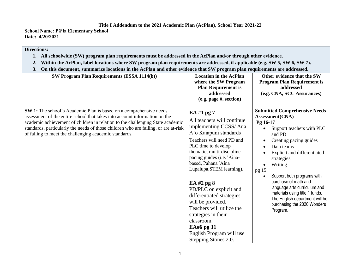**School Name: Pāʻia Elementary School Date: 4/20/2021**

#### **Directions:**

- **1. All schoolwide (SW) program plan requirements must be addressed in the AcPlan and/or through other evidence.**
- **2. Within the AcPlan, label locations where SW program plan requirements are addressed, if applicable (e.g. SW 5, SW 6, SW 7).**
- **3. On this document, summarize locations in the AcPlan and other evidence that SW program plan requirements are addressed.**

| SW Program Plan Requirements (ESSA 1114(b))                                                                                                                                                                                                                                                                                                                                         | <b>Location in the AcPlan</b><br>where the SW Program<br><b>Plan Requirement is</b><br>addressed<br>(e.g. page #, section)                                                                                                                                                                                                                                                                                                                                                                        | Other evidence that the SW<br><b>Program Plan Requirement is</b><br>addressed<br>(e.g. CNA, SCC Assurances)                                                                                                                                                                                                                                                                                                              |
|-------------------------------------------------------------------------------------------------------------------------------------------------------------------------------------------------------------------------------------------------------------------------------------------------------------------------------------------------------------------------------------|---------------------------------------------------------------------------------------------------------------------------------------------------------------------------------------------------------------------------------------------------------------------------------------------------------------------------------------------------------------------------------------------------------------------------------------------------------------------------------------------------|--------------------------------------------------------------------------------------------------------------------------------------------------------------------------------------------------------------------------------------------------------------------------------------------------------------------------------------------------------------------------------------------------------------------------|
| SW 1: The school's Academic Plan is based on a comprehensive needs<br>assessment of the entire school that takes into account information on the<br>academic achievement of children in relation to the challenging State academic<br>standards, particularly the needs of those children who are failing, or are at-risk<br>of failing to meet the challenging academic standards. | EA #1 pg 7<br>All teachers will continue<br>implementing CCSS/Ana<br>A'o Kaiapuni standards<br>Teachers will need PD and<br>PLC time to develop<br>thematic, multi-discipline<br>pacing guides (i.e. 'Aina-<br>based, Pāhana 'Āina<br>Lupalupa, STEM learning).<br>EA $#2$ pg $8$<br>PD/PLC on explicit and<br>differentiated strategies<br>will be provided.<br>Teachers will utilize the<br>strategies in their<br>classroom.<br>EA#6 pg 11<br>English Program will use<br>Stepping Stones 2.0. | <b>Submitted Comprehensive Needs</b><br>Assessment(CNA)<br>Pg 16-17<br>Support teachers with PLC<br>and PD<br>Creating pacing guides<br>Data teams<br>Explicit and differentiated<br>strategies<br>Writing<br>pg 15<br>Support both programs with<br>purchase of math and<br>language arts curriculum and<br>materials using title 1 funds.<br>The English department will be<br>purchasing the 2020 Wonders<br>Program. |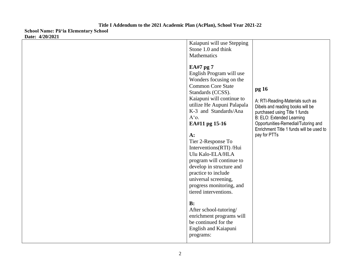**Date: 4/20/2021**

| Kaiapuni will use Stepping<br>Stone 1.0 and think<br>Mathematics<br>EA#7 pg 7<br>English Program will use<br>Wonders focusing on the |                                                                                                                                                                                                                                       |
|--------------------------------------------------------------------------------------------------------------------------------------|---------------------------------------------------------------------------------------------------------------------------------------------------------------------------------------------------------------------------------------|
| <b>Common Core State</b><br>Standards (CCSS).<br>Kaiapuni will continue to                                                           | pg 16                                                                                                                                                                                                                                 |
| utilize He Aupuni Palapala<br>K-3 and Standards/Ana<br>$A^{\prime}$ o.<br>EA#11 pg 15-16<br>$A$ :<br>Tier 2-Response To              | A: RTI-Reading-Materials such as<br>Dibels and reading books will be<br>purchased using Title 1 funds<br>B: ELO: Extended Learning<br>Opportunities-Remedial/Tutoring and<br>Enrichment Title 1 funds will be used to<br>pay for PTTs |
| Interventions(RTI)/Hui<br>Ulu Kalo-ELA/HLA<br>program will continue to<br>develop in structure and                                   |                                                                                                                                                                                                                                       |
| practice to include<br>universal screening,<br>progress monitoring, and<br>tiered interventions.                                     |                                                                                                                                                                                                                                       |
| B:<br>After school-tutoring/<br>enrichment programs will<br>be continued for the<br>English and Kaiapuni<br>programs:                |                                                                                                                                                                                                                                       |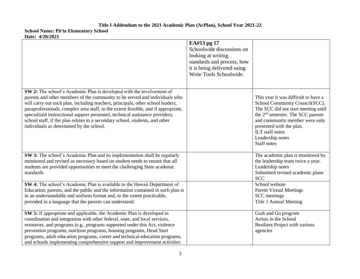|                                                                                                                                                                                                                                                                                                                                                                                                                                                                                                                                           | EA#13 pg 17<br>Schoolwide discussions on<br>looking at writing<br>standards and process, how<br>it is being delivered using<br>Write Tools Schoolwide. |                                                                                                                                                                                                                                                                                           |
|-------------------------------------------------------------------------------------------------------------------------------------------------------------------------------------------------------------------------------------------------------------------------------------------------------------------------------------------------------------------------------------------------------------------------------------------------------------------------------------------------------------------------------------------|--------------------------------------------------------------------------------------------------------------------------------------------------------|-------------------------------------------------------------------------------------------------------------------------------------------------------------------------------------------------------------------------------------------------------------------------------------------|
| SW 2: The school's Academic Plan is developed with the involvement of<br>parents and other members of the community to be served and individuals who<br>will carry out such plan, including teachers, principals, other school leaders,<br>paraprofessionals, complex area staff, to the extent feasible, and if appropriate,<br>specialized instructional support personnel, technical assistance providers,<br>school staff, if the plan relates to a secondary school, students, and other<br>individuals as determined by the school. |                                                                                                                                                        | This year it was difficult to have a<br>School Community Council(SCC).<br>The SCC did not start meeting until<br>the 2 <sup>nd</sup> semester. The SCC parents<br>and community member were only<br>presented with the plan.<br>ILT staff notes<br>Leadership notes<br><b>Staff notes</b> |
| SW 3: The school's Academic Plan and its implementation shall be regularly<br>monitored and revised as necessary based on student needs to ensure that all<br>students are provided opportunities to meet the challenging State academic<br>standards                                                                                                                                                                                                                                                                                     |                                                                                                                                                        | The academic plan is monitored by<br>the leadership team twice a year.<br>Leadership notes<br>Submitted revised academic plans<br><b>SCC</b><br>School website                                                                                                                            |
| SW 4: The school's Academic Plan is available to the Hawaii Department of<br>Education, parents, and the public and the information contained in such plan is<br>in an understandable and uniform format and, to the extent practicable,<br>provided in a language that the parents can understand.                                                                                                                                                                                                                                       |                                                                                                                                                        | <b>Parent Virtual Meetings</b><br>SCC meetings<br>Title 1 Annual Meeting                                                                                                                                                                                                                  |
| SW 5: If appropriate and applicable, the Academic Plan is developed in<br>coordination and integration with other federal, state, and local services,<br>resources, and programs (e.g., programs supported under this Act, violence<br>prevention programs, nutrition programs, housing programs, Head Start<br>programs, adult education programs, career and technical education programs,<br>and schools implementing comprehensive support and improvement activities                                                                 |                                                                                                                                                        | Grab and Go program<br>Artists in the School<br>Resilient Project with various<br>agencies                                                                                                                                                                                                |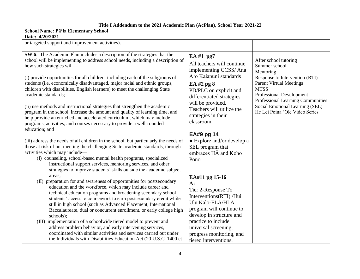| or targeted support and improvement activities).                                                                                                                                                                                                                                                                                                                                                                                                                                                                                                                                                                                                                                                                                                                                                                                                                                                                                                                                                              |                                                                                                                                                                                                                                                                                                                                                             |                                                                                                                                                                                                                                                                                     |
|---------------------------------------------------------------------------------------------------------------------------------------------------------------------------------------------------------------------------------------------------------------------------------------------------------------------------------------------------------------------------------------------------------------------------------------------------------------------------------------------------------------------------------------------------------------------------------------------------------------------------------------------------------------------------------------------------------------------------------------------------------------------------------------------------------------------------------------------------------------------------------------------------------------------------------------------------------------------------------------------------------------|-------------------------------------------------------------------------------------------------------------------------------------------------------------------------------------------------------------------------------------------------------------------------------------------------------------------------------------------------------------|-------------------------------------------------------------------------------------------------------------------------------------------------------------------------------------------------------------------------------------------------------------------------------------|
| SW 6: The Academic Plan includes a description of the strategies that the<br>school will be implementing to address school needs, including a description of<br>how such strategies will-<br>(i) provide opportunities for all children, including each of the subgroups of<br>students (i.e. economically disadvantaged, major racial and ethnic groups,<br>children with disabilities, English learners) to meet the challenging State<br>academic standards;<br>(ii) use methods and instructional strategies that strengthen the academic<br>program in the school, increase the amount and quality of learning time, and<br>help provide an enriched and accelerated curriculum, which may include<br>programs, activities, and courses necessary to provide a well-rounded<br>education; and<br>(iii) address the needs of all children in the school, but particularly the needs of<br>those at risk of not meeting the challenging State academic standards, through<br>activities which may include— | EA #1 pg7<br>All teachers will continue<br>implementing CCSS/Ana<br>A'o Kaiapuni standards<br>EA #2 pg 8<br>PD/PLC on explicit and<br>differentiated strategies<br>will be provided.<br>Teachers will utilize the<br>strategies in their<br>classroom.<br>EA#9 pg 14<br>• Explore and/or develop a<br>SEL program that<br>embraces $H\overline{A}$ and Koho | After school tutoring<br>Summer school<br>Mentoring<br>Response to Intervention (RTI)<br><b>Parent Virtual Meetings</b><br><b>MTSS</b><br><b>Professional Development</b><br>Professional Learning Communities<br>Social Emotional Learning (SEL)<br>He Lei Poina 'Ole Video Series |
| (I) counseling, school-based mental health programs, specialized<br>instructional support services, mentoring services, and other<br>strategies to improve students' skills outside the academic subject<br>areas:<br>(II) preparation for and awareness of opportunities for postsecondary<br>education and the workforce, which may include career and<br>technical education programs and broadening secondary school<br>students' access to coursework to earn postsecondary credit while<br>still in high school (such as Advanced Placement, International<br>Baccalaureate, dual or concurrent enrollment, or early college high<br>schools);<br>(III) implementation of a schoolwide tiered model to prevent and<br>address problem behavior, and early intervening services,<br>coordinated with similar activities and services carried out under<br>the Individuals with Disabilities Education Act (20 U.S.C. 1400 et                                                                             | Pono<br>EA#11 pg 15-16<br>$A$ :<br>Tier 2-Response To<br>Interventions(RTI) /Hui<br>Ulu Kalo-ELA/HLA<br>program will continue to<br>develop in structure and<br>practice to include<br>universal screening,<br>progress monitoring, and<br>tiered interventions.                                                                                            |                                                                                                                                                                                                                                                                                     |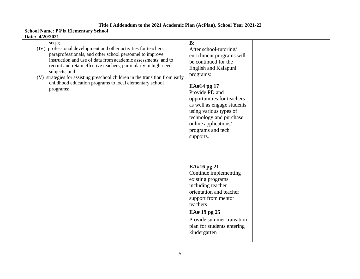| $seq.$ );<br>(IV) professional development and other activities for teachers,<br>paraprofessionals, and other school personnel to improve<br>instruction and use of data from academic assessments, and to<br>recruit and retain effective teachers, particularly in high-need<br>subjects; and<br>(V) strategies for assisting preschool children in the transition from early<br>childhood education programs to local elementary school<br>programs; | B:<br>After school-tutoring/<br>enrichment programs will<br>be continued for the<br>English and Kaiapuni<br>programs:<br>EA#14 pg 17<br>Provide PD and<br>opportunities for teachers<br>as well as engage students<br>using various types of<br>technology and purchase<br>online applications/<br>programs and tech<br>supports. |  |
|---------------------------------------------------------------------------------------------------------------------------------------------------------------------------------------------------------------------------------------------------------------------------------------------------------------------------------------------------------------------------------------------------------------------------------------------------------|-----------------------------------------------------------------------------------------------------------------------------------------------------------------------------------------------------------------------------------------------------------------------------------------------------------------------------------|--|
|                                                                                                                                                                                                                                                                                                                                                                                                                                                         | EA#16 pg 21<br>Continue implementing<br>existing programs<br>including teacher<br>orientation and teacher<br>support from mentor<br>teachers.<br>EA# 19 pg 25<br>Provide summer transition<br>plan for students entering<br>kindergarten                                                                                          |  |